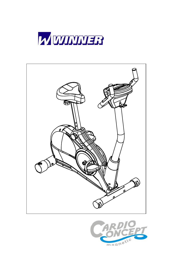



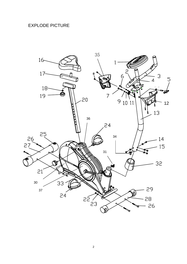### EXPLODE PICTURE

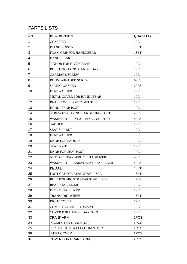### PARTS LISTS

| NO             | <b>DESCRIPTION</b>                        | <b>QUANTITY</b> |
|----------------|-------------------------------------------|-----------------|
| 1              | <b>COMPUER</b>                            | 1PC             |
| $\overline{2}$ | <b>PULSE SENSOR</b>                       | 1SET            |
| 3              | <b>FOAM GRIP FOR HANDLEBAR</b>            | 1SET            |
| 4              | <b>HANDLEBAR</b>                          | 1PC             |
| 5              | T-KNOB FOR HANDLEBAR                      | 1PC             |
| 6              | <b>BOLT FOR FIXING HANDLEBAR</b>          | 1PC             |
| 7              | <b>CARRIAGE SCREW</b>                     | 1PC             |
| 8              | <b>ROUND-HEADED SCREW</b>                 | 6PCS            |
| 9              | <b>SPRING WASHER</b>                      | 2PCS            |
| 10             | <b>FLAT WASHER</b>                        | 2PCS            |
| 11             | METAL COVER FOR HANDLEBAR                 | 1PC             |
| 12             | <b>REAR COVER FOR COMPUTER</b>            | 1PC             |
| 13             | <b>HANDLEBAR POST</b>                     | 1PC             |
| 14             | <b>SCREW FOR FIXING HANDLEBAR POST</b>    | 4PCS            |
| 15             | <b>WASHER FOR FIXING HANLEBAR POST</b>    | 4PCS            |
| 16             | <b>SADDLE</b>                             | 1PC             |
| 17             | <b>SEAT SLIP SET</b>                      | 1PC             |
| 18             | <b>FLAT WASHER</b>                        | 1PC             |
| 19             | <b>KNOB FOR SADDLE</b>                    | 1PC             |
| 20             | <b>SEAT POST</b>                          | 1PC             |
| 21             | <b>KNOB FOR SEAT POST</b>                 | 1PC             |
| 22             | NUT FOR REAR&FRONT STABILIZER             | 4PCS            |
| 23             | WASHER FOR REAR&FRONT STABILIZER          | 4PCS            |
| 24             | PEDAL                                     | 1SET            |
| 25             | FOOT CAP FOR REAR STABILIZER              | 1SET            |
| 26             | <b>BOLT FOR FRONT&amp;REAR STABILIZER</b> | 4PCS            |
| 27             | <b>REAR STABILIZER</b>                    | 1PC             |
| 28             | <b>FRONT STABILIZER</b>                   | 1PC             |
| 29             | <b>TRANSPORT WHEEL</b>                    | 1SET            |
| 30             | <b>RIGHT COVER</b>                        | 1PC             |
| 31             | <b>COMPUTER CABLE (DOWN)</b>              | 1PC             |
| 32             | <b>COVER FOR HANDLEBAR POST</b>           | 1PC             |
| 33             | <b>CRANK ARM</b>                          | 2PCS            |
| 34             | <b>COMPUTER CABLE (UP)</b>                | 1PCS            |
| 35             | FRONT COVER FOR COMPUTER                  | 1PCS            |
| 36             | <b>LEFT COVER</b>                         | 1PCS            |
| 37             | COVER FOR CRANK ARM                       | 2PCS            |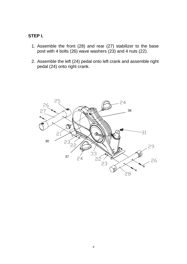#### **STEP I.**

- 1. Assemble the front (28) and rear (27) stabilizer to the base post with 4 bolts (26) wave washers (23) and 4 nuts (22).
- 2. Assemble the left (24) pedal onto left crank and assemble right pedal (24) onto right crank.

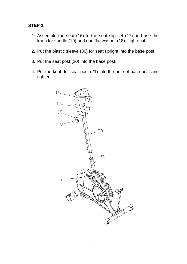#### **STEP 2.**

- 1. Assemble the seat (16) to the seat slip set (17) and use the knob for saddle (19) and one flat washer (18) , tighten it.
- 2. Put the plastic sleeve (36) for seat upright into the base post.
- 3. Put the seat post (20) into the base post.
- 4. Put the knob for seat post (21) into the hole of base post and tighten it.

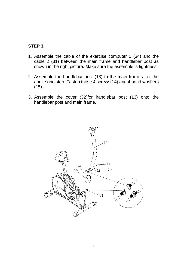#### **STEP 3.**

- 1. Assemble the cable of the exercise computer 1 (34) and the cable 2 (31) between the main frame and handlebar post as shown in the right picture. Make sure the assemble is tightness.
- 2. Assemble the handlebar post (13) to the main frame after the above one step. Fasten those 4 screws(14) and 4 bend washers  $(15)$ .
- 3. Assemble the cover (32)for handlebar post (13) onto the handlebar post and main frame.

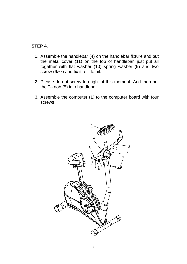#### **STEP 4.**

- 1. Assemble the handlebar (4) on the handlebar fixture and put the metal cover (11) on the top of handlebar, just put all together with flat washer (10) spring washer (9) and two screw (6&7) and fix it a little bit.
- 2. Please do not screw too tight at this moment. And then put the T-knob (5) into handlebar.
- 3. Assemble the computer (1) to the computer board with four screws .

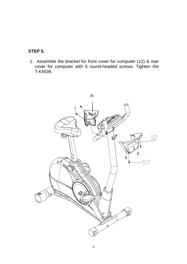### **STEP 5.**

1. Assemble the bracket for front cover for computer (12) & rear cover for computer with 6 round-headed screws. Tighten the T-KNOB.

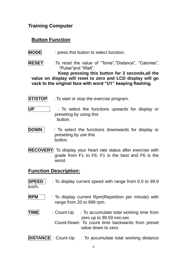### **Training Computer**

## **Button Function**

- **MODE** : press this button to select function.
- **RESET** :To reset the value of "Tome","Distance", "Calories", "Pulse"and "Watt".

 **Keep pressing this button for 3 seconds,all the value on display will reset to zero and LCD display will go vack to the original face with word "U1" keeping flashing.** 

- **ST/STOP** : To start or stop the exercise program.
- **UP** : To select the functions upwards for display or preseting by using this button.
- **DOWN** : To select the functions downwards for display or preseting by use this button.
- **RECOVERY**: To display your heart rate status after exercise with grade from F1 to F6. F1 is the best and F6 is the worst.

### **Function Description:**

- **SPEED** : To display current speed with range from 0.0 to 99.9 km/h.
- **RPM** : To display current Rpm(Repetition per minute) with range from 20 to 999 rpm.
- **TIME** : Count-Up : To accumulate total working time from zero up to 99.59 min:sec Count-Down: To count time backwards from preset value down to zero.

**DISTANCE** : Count-Up : To accumulate total working distance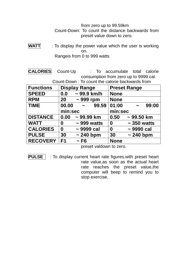#### from zero up to 99.59km Count-Down: To count the distance backwards from preset value down to zero.

**WATT** : To display the power value which the user is working on. Rangeis from 0 to 999 watts.

**CALORIES**: Count-Up : To accumulate total calorie consumption from zero up to 9999 cal. Count-Down : To count the calorie backwards from

| <u>UUUIIL DUWII . TU CUUIIL LIIG CAIUIIG DACKWATUS ITUITI</u> |                                     |                              |  |  |
|---------------------------------------------------------------|-------------------------------------|------------------------------|--|--|
| <b>Functions</b>                                              | <b>Display Range</b>                | <b>Preset Range</b>          |  |  |
| <b>SPEED</b>                                                  | $\sim$ 99.9 km/h<br>0.0             | <b>None</b>                  |  |  |
| <b>RPM</b>                                                    | $\sim$ 999 rpm<br>20 <sub>2</sub>   | <b>None</b>                  |  |  |
| <b>TIME</b>                                                   | $00.00 -$<br>99.59                  | 01:00<br>99:00<br>$\sim$     |  |  |
|                                                               | min:sec                             | min:sec                      |  |  |
| <b>DISTANCE</b>                                               | 0.00<br>$\sim$ 99.99 km             | 0.50<br>$\sim$ 99.50 km      |  |  |
| <b>WATT</b>                                                   | $\sim$ 999 watts<br>0               | $\sim$ 350 watts<br>$\bf{0}$ |  |  |
| <b>CALORIES</b>                                               | $\sim$ 9999 cal<br>$\boldsymbol{0}$ | $\sim$ 9990 cal<br>$\bf{0}$  |  |  |
| <b>PULSE</b>                                                  | 30<br>$\sim$ 240 bpm                | $\sim$ 240 bpm<br>30         |  |  |
| <b>RECOVERY</b>                                               | F <sub>1</sub><br>$\sim$ F6         | <b>None</b>                  |  |  |

preset valdown to zero.

**PULSE** : To display current heart rate figures.with preset heart rate value,as soon as the actual heart rate reaches the preset value,the computer will beep to remind you to stop exercise.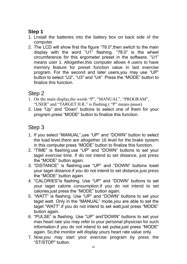# **Step 1**

- 1. Lnstall the batteries into the battery box on back side of the computer.
- 2. The LCD will show first the figure "78.0",then switch to the main display with the word "U1" flashing. "78.0" is the wheel circumference for this ergometer preset in the software. "U1" means user 1. Altogether, this computer allows 4 users to have memory feature for preset function value in last exercise program. For the second and later users,you may use "UP" button to select "U2", "U3" and "U4". Press the "MODE" button to finalize this function.

# Step 2

- 1. On the main display,the words "P", "MANUAL", "PROGRAM", "USER" and "TARGET H.R." is flashing.( "P" means pause)
- 2. Use "Up" and "Down" buttons to select one of them for your program.press "MODE" button to finalize this function.

# Step 3

- 1. If you select "MANUAL",use "UP" and "DOWN" button to select the load level.there are altogether 16 level for the brake system in this computer.press "MODE" button to finalize this function.
- 2. "TIME" is flashing.use "UP" and "DOWN" buttons to set your taget exercise time. If do not intend to set distance, just press the "MODE" button again.
- 3. "DISTANCE" is flashing.use "UP" and "DOWN" buttons toset your taget distance.if you do not intend to set distance,just press the "MODE" button again.
- 4. "CALORIES"is flashing. Use "UP" and "DOWN" buttons to set your taget calorie consumption.if you do not intend to set calories,just press the "MODE" button again.
- 5. "WATT" is flashing. Use "UP" and "DOWN" buttons to set your taget watt. Only in the "MANUAL" mode,you are able to set the taget "WATT".if you do not intend to set watt,just press "MODE" button again.
- 6. "PULSE" is flashing. Use "UP" and"DOWN" buttons to set your max.heart rate you may refer to your personal physician for such information.if you do not intend to set pulse,just press "MODE" again. So,the monitor will display yours heart rate value only.
- 7. Now,you may start your exercise program by press the "ST/STOP" button.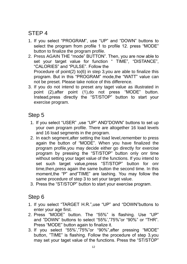# STEP 4

- 1. If you select "PROGRAM", use "UP" and "DOWN" buttons to select the program from profile 1 to profile 12. press "MODE" button to finalize the program profile.
- 2. Press AGAIN THE "mode" BUTTON". Then, you are now able to set your target value for function " TIME", "DISTANCE", "CALORIES" and "PULSE". Follow the Procedure of point(2) to(6) in step 3,you are able to finalize this program. But in this "PROGRAM" mode,the "WATT" value can not be preset. Please take notice of this difference.
- 3. If you do not intend to preset any taget value as illustrated in point (2),after point (1),do not press "MODE" button. Instead,press directly the "ST/STOP" button to start your exercise program.

## Step 5

- 1. If you select "USER" ,use "UP" AND"DOWN" buttons to set up your own program profile. There are altogether 16 load levels and 16 load segments in the program.
- 2. In each segment,after setting the load level,remember to press again the button of "MODE". When you have finalized the program profile,you may decide either go directly for exercise program by pressing the "ST/STOP" button only onr time without setting your taget value of the functions. If you intend to set such target value,press "ST/STOP" button for onr time,then,press again the same button the second time. In this moment,the "P" and"TIME" are lashing. You may follow the same procedure of step 3 to set your target value.
- 3. Press the "ST/STOP" button to start your exercise program.

# Step 6

- 1. If you select "TARGET H.R.",use "UP" and "DOWN"buttons to enter your age first.
- 2. Press "MODE" button. The "55%" is flashing. Use "UP" and "DOWN" buttons to select "55%',"75%"or "90%" or "THR". Press "MODE" button again to finalize it.
- 3. If you select "55%',"75%"or "90%",after pressing "MODE" button, "TIME" is flashing. Follow the procedure of step 3,you may set your taget value of the functions. Press the "ST/STOP"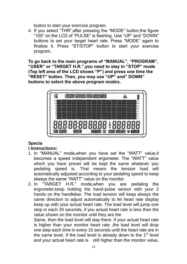button to start your exercise program.

4. If you select "THR",after pressing the "MODE" button,the figure "100" on the LCD of "PULSE" is flashing. Use "UP" and "DOWN" buttons to set your target heart rate. Press "MODE" again to finalize it. Press "ST/STOP" button to start your exercise program.

**To go back to the main programs of "MANUAL", "PROGRAM", "USER" or "TARGET H.R.",you need to stay in "STOP" mode (Top left area of the LCD shows "P") and press one time the "RESET" button. Then, you may use "UP" and" DOWN" buttons to select the above program modes.**



## **Specia**

#### **l Instructions:**

- 1. In "MANUAL" mode,when you have set the "WATT" value,it becomes a speed independent ergometer. The "WATT" value which you have preset will be kept the same whatever you pedaling speed is. That means the tension load will automatically adjusted according to your pedaling speed to keep always the same "WATT" value on the monitor.
- 2. In "TARGET H.R." mode,when you are pedaling the ergometer,keep holding the hand-pulse sensor with your 2 hands on the handlebar. The load tension will keep always the same direction to adjust automatically to let heart rate display keep up with your actual heart rate. The load level will jump one step in each 30 seconds, if you actual heart rate is less than the value shown on the monitor until they are the

Same. then the load level will stay there. If your actual heart rate is higher than your monitor heart rate ,the load level will drop one step each time in every 15 seconds until the heart rate are in the same level. If the load level is already down to the  $1<sup>st</sup>$  level and your actual heart rate is still higher than the monitor value,